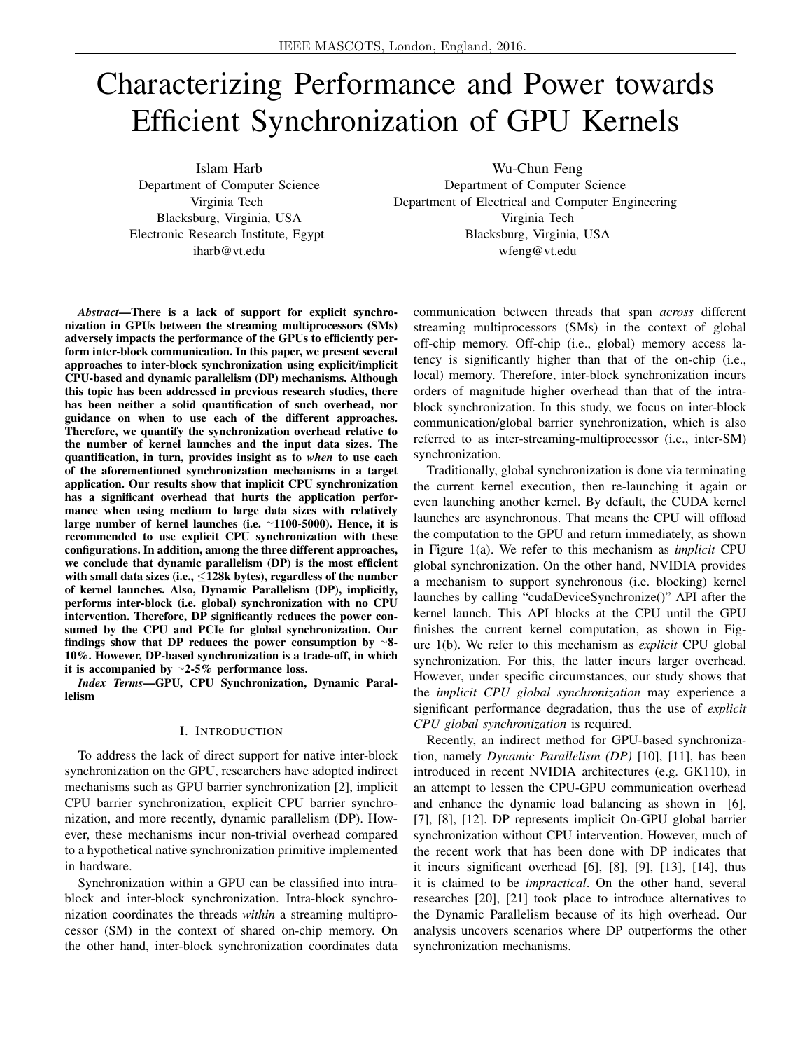# Characterizing Performance and Power towards Efficient Synchronization of GPU Kernels

Islam Harb Department of Computer Science Virginia Tech Blacksburg, Virginia, USA Electronic Research Institute, Egypt iharb@vt.edu

Wu-Chun Feng Department of Computer Science Department of Electrical and Computer Engineering Virginia Tech Blacksburg, Virginia, USA wfeng@vt.edu

*Abstract*—There is a lack of support for explicit synchronization in GPUs between the streaming multiprocessors (SMs) adversely impacts the performance of the GPUs to efficiently perform inter-block communication. In this paper, we present several approaches to inter-block synchronization using explicit/implicit CPU-based and dynamic parallelism (DP) mechanisms. Although this topic has been addressed in previous research studies, there has been neither a solid quantification of such overhead, nor guidance on when to use each of the different approaches. Therefore, we quantify the synchronization overhead relative to the number of kernel launches and the input data sizes. The quantification, in turn, provides insight as to *when* to use each of the aforementioned synchronization mechanisms in a target application. Our results show that implicit CPU synchronization has a significant overhead that hurts the application performance when using medium to large data sizes with relatively large number of kernel launches (i.e. <sup>∼</sup>1100-5000). Hence, it is recommended to use explicit CPU synchronization with these configurations. In addition, among the three different approaches, we conclude that dynamic parallelism (DP) is the most efficient with small data sizes (i.e.,  $\leq$ 128k bytes), regardless of the number of kernel launches. Also, Dynamic Parallelism (DP), implicitly, performs inter-block (i.e. global) synchronization with no CPU intervention. Therefore, DP significantly reduces the power consumed by the CPU and PCIe for global synchronization. Our findings show that DP reduces the power consumption by <sup>∼</sup>8- 10%. However, DP-based synchronization is a trade-off, in which it is accompanied by <sup>∼</sup>2-5% performance loss.

*Index Terms*—GPU, CPU Synchronization, Dynamic Parallelism

## I. INTRODUCTION

To address the lack of direct support for native inter-block synchronization on the GPU, researchers have adopted indirect mechanisms such as GPU barrier synchronization [2], implicit CPU barrier synchronization, explicit CPU barrier synchronization, and more recently, dynamic parallelism (DP). However, these mechanisms incur non-trivial overhead compared to a hypothetical native synchronization primitive implemented in hardware.

Synchronization within a GPU can be classified into intrablock and inter-block synchronization. Intra-block synchronization coordinates the threads *within* a streaming multiprocessor (SM) in the context of shared on-chip memory. On the other hand, inter-block synchronization coordinates data communication between threads that span *across* different streaming multiprocessors (SMs) in the context of global off-chip memory. Off-chip (i.e., global) memory access latency is significantly higher than that of the on-chip (i.e., local) memory. Therefore, inter-block synchronization incurs orders of magnitude higher overhead than that of the intrablock synchronization. In this study, we focus on inter-block communication/global barrier synchronization, which is also referred to as inter-streaming-multiprocessor (i.e., inter-SM) synchronization.

Traditionally, global synchronization is done via terminating the current kernel execution, then re-launching it again or even launching another kernel. By default, the CUDA kernel launches are asynchronous. That means the CPU will offload the computation to the GPU and return immediately, as shown in Figure 1(a). We refer to this mechanism as *implicit* CPU global synchronization. On the other hand, NVIDIA provides a mechanism to support synchronous (i.e. blocking) kernel launches by calling "cudaDeviceSynchronize()" API after the kernel launch. This API blocks at the CPU until the GPU finishes the current kernel computation, as shown in Figure 1(b). We refer to this mechanism as *explicit* CPU global synchronization. For this, the latter incurs larger overhead. However, under specific circumstances, our study shows that the *implicit CPU global synchronization* may experience a significant performance degradation, thus the use of *explicit CPU global synchronization* is required.

Recently, an indirect method for GPU-based synchronization, namely *Dynamic Parallelism (DP)* [10], [11], has been introduced in recent NVIDIA architectures (e.g. GK110), in an attempt to lessen the CPU-GPU communication overhead and enhance the dynamic load balancing as shown in [6], [7], [8], [12]. DP represents implicit On-GPU global barrier synchronization without CPU intervention. However, much of the recent work that has been done with DP indicates that it incurs significant overhead [6], [8], [9], [13], [14], thus it is claimed to be *impractical*. On the other hand, several researches [20], [21] took place to introduce alternatives to the Dynamic Parallelism because of its high overhead. Our analysis uncovers scenarios where DP outperforms the other synchronization mechanisms.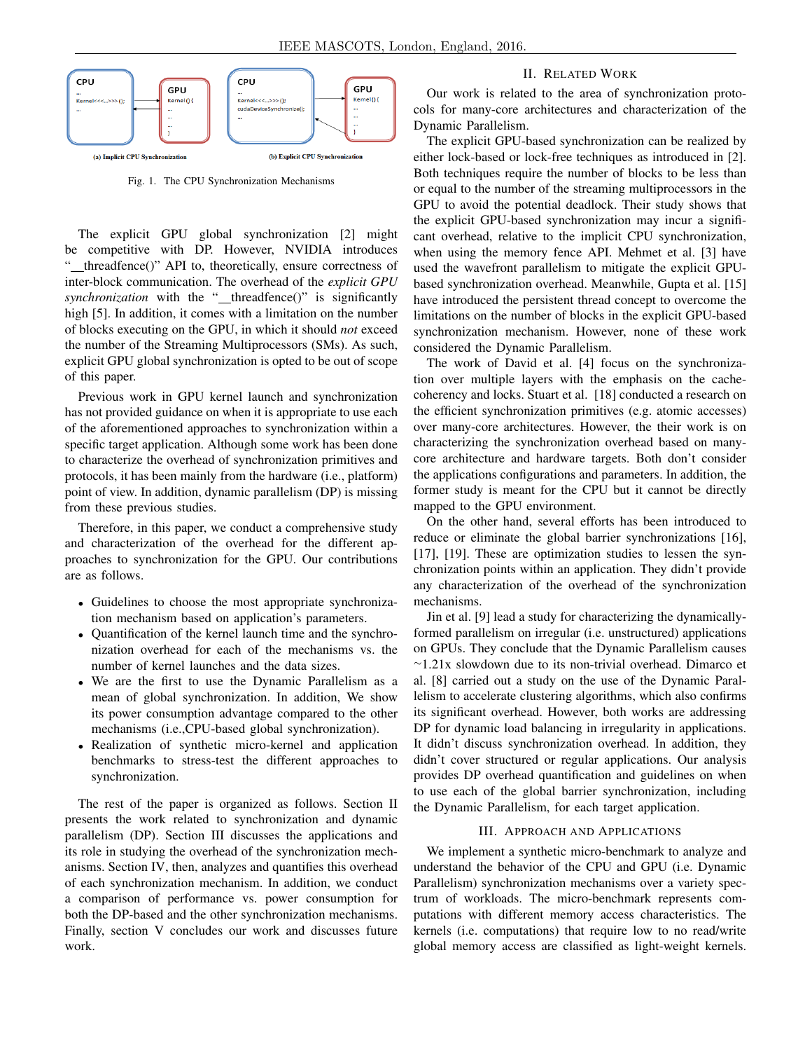

Fig. 1. The CPU Synchronization Mechanisms

The explicit GPU global synchronization [2] might be competitive with DP. However, NVIDIA introduces " threadfence()" API to, theoretically, ensure correctness of inter-block communication. The overhead of the *explicit GPU synchronization* with the " threadfence()" is significantly high [5]. In addition, it comes with a limitation on the number of blocks executing on the GPU, in which it should *not* exceed the number of the Streaming Multiprocessors (SMs). As such, explicit GPU global synchronization is opted to be out of scope of this paper.

Previous work in GPU kernel launch and synchronization has not provided guidance on when it is appropriate to use each of the aforementioned approaches to synchronization within a specific target application. Although some work has been done to characterize the overhead of synchronization primitives and protocols, it has been mainly from the hardware (i.e., platform) point of view. In addition, dynamic parallelism (DP) is missing from these previous studies.

Therefore, in this paper, we conduct a comprehensive study and characterization of the overhead for the different approaches to synchronization for the GPU. Our contributions are as follows.

- Guidelines to choose the most appropriate synchronization mechanism based on application's parameters.
- Quantification of the kernel launch time and the synchronization overhead for each of the mechanisms vs. the number of kernel launches and the data sizes.
- We are the first to use the Dynamic Parallelism as a mean of global synchronization. In addition, We show its power consumption advantage compared to the other mechanisms (i.e.,CPU-based global synchronization).
- Realization of synthetic micro-kernel and application benchmarks to stress-test the different approaches to synchronization.

The rest of the paper is organized as follows. Section II presents the work related to synchronization and dynamic parallelism (DP). Section III discusses the applications and its role in studying the overhead of the synchronization mechanisms. Section IV, then, analyzes and quantifies this overhead of each synchronization mechanism. In addition, we conduct a comparison of performance vs. power consumption for both the DP-based and the other synchronization mechanisms. Finally, section V concludes our work and discusses future work.

## II. RELATED WORK

Our work is related to the area of synchronization protocols for many-core architectures and characterization of the Dynamic Parallelism.

The explicit GPU-based synchronization can be realized by either lock-based or lock-free techniques as introduced in [2]. Both techniques require the number of blocks to be less than or equal to the number of the streaming multiprocessors in the GPU to avoid the potential deadlock. Their study shows that the explicit GPU-based synchronization may incur a significant overhead, relative to the implicit CPU synchronization, when using the memory fence API. Mehmet et al. [3] have used the wavefront parallelism to mitigate the explicit GPUbased synchronization overhead. Meanwhile, Gupta et al. [15] have introduced the persistent thread concept to overcome the limitations on the number of blocks in the explicit GPU-based synchronization mechanism. However, none of these work considered the Dynamic Parallelism.

The work of David et al. [4] focus on the synchronization over multiple layers with the emphasis on the cachecoherency and locks. Stuart et al. [18] conducted a research on the efficient synchronization primitives (e.g. atomic accesses) over many-core architectures. However, the their work is on characterizing the synchronization overhead based on manycore architecture and hardware targets. Both don't consider the applications configurations and parameters. In addition, the former study is meant for the CPU but it cannot be directly mapped to the GPU environment.

On the other hand, several efforts has been introduced to reduce or eliminate the global barrier synchronizations [16], [17], [19]. These are optimization studies to lessen the synchronization points within an application. They didn't provide any characterization of the overhead of the synchronization mechanisms.

Jin et al. [9] lead a study for characterizing the dynamicallyformed parallelism on irregular (i.e. unstructured) applications on GPUs. They conclude that the Dynamic Parallelism causes <sup>∼</sup>1.21x slowdown due to its non-trivial overhead. Dimarco et al. [8] carried out a study on the use of the Dynamic Parallelism to accelerate clustering algorithms, which also confirms its significant overhead. However, both works are addressing DP for dynamic load balancing in irregularity in applications. It didn't discuss synchronization overhead. In addition, they didn't cover structured or regular applications. Our analysis provides DP overhead quantification and guidelines on when to use each of the global barrier synchronization, including the Dynamic Parallelism, for each target application.

## III. APPROACH AND APPLICATIONS

We implement a synthetic micro-benchmark to analyze and understand the behavior of the CPU and GPU (i.e. Dynamic Parallelism) synchronization mechanisms over a variety spectrum of workloads. The micro-benchmark represents computations with different memory access characteristics. The kernels (i.e. computations) that require low to no read/write global memory access are classified as light-weight kernels.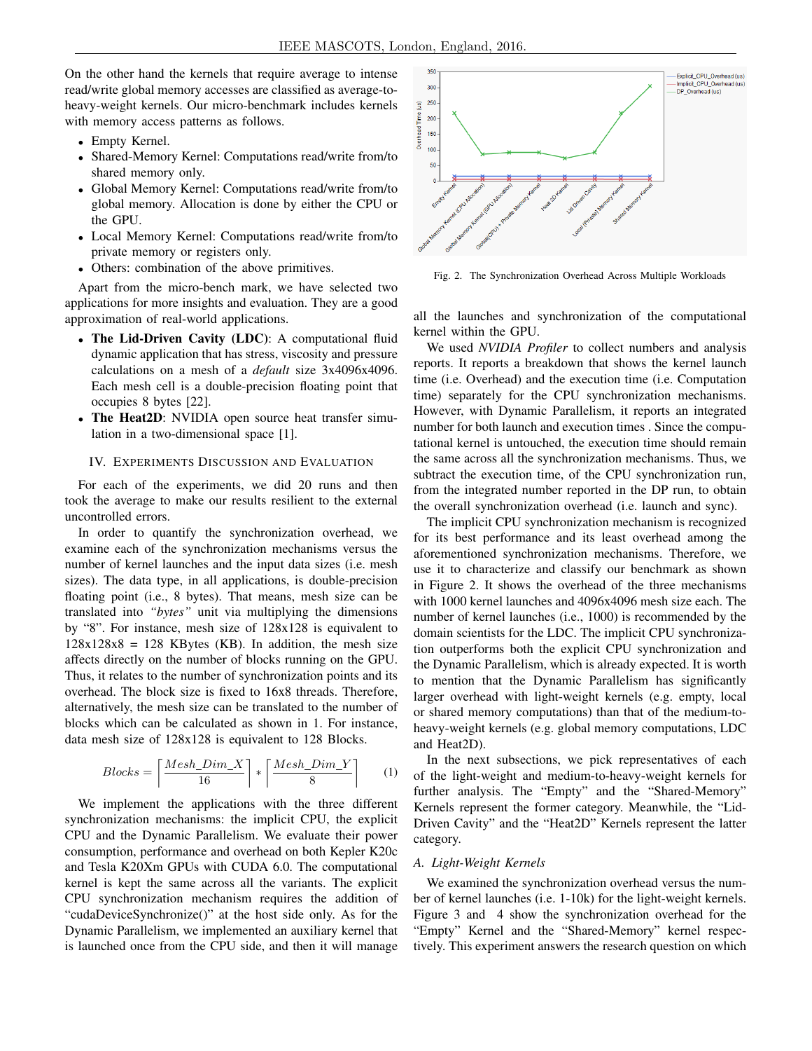On the other hand the kernels that require average to intense read/write global memory accesses are classified as average-toheavy-weight kernels. Our micro-benchmark includes kernels with memory access patterns as follows.

- Empty Kernel.
- Shared-Memory Kernel: Computations read/write from/to shared memory only.
- Global Memory Kernel: Computations read/write from/to global memory. Allocation is done by either the CPU or the GPU.
- Local Memory Kernel: Computations read/write from/to private memory or registers only.
- Others: combination of the above primitives.

Apart from the micro-bench mark, we have selected two applications for more insights and evaluation. They are a good approximation of real-world applications.

- The Lid-Driven Cavity (LDC): A computational fluid dynamic application that has stress, viscosity and pressure calculations on a mesh of a *default* size 3x4096x4096. Each mesh cell is a double-precision floating point that occupies 8 bytes [22].
- The Heat2D: NVIDIA open source heat transfer simulation in a two-dimensional space [1].

## IV. EXPERIMENTS DISCUSSION AND EVALUATION

For each of the experiments, we did 20 runs and then took the average to make our results resilient to the external uncontrolled errors.

In order to quantify the synchronization overhead, we examine each of the synchronization mechanisms versus the number of kernel launches and the input data sizes (i.e. mesh sizes). The data type, in all applications, is double-precision floating point (i.e., 8 bytes). That means, mesh size can be translated into *"bytes"* unit via multiplying the dimensions by "8". For instance, mesh size of 128x128 is equivalent to  $128x128x8 = 128$  KBytes (KB). In addition, the mesh size affects directly on the number of blocks running on the GPU. Thus, it relates to the number of synchronization points and its overhead. The block size is fixed to 16x8 threads. Therefore, alternatively, the mesh size can be translated to the number of blocks which can be calculated as shown in 1. For instance, data mesh size of 128x128 is equivalent to 128 Blocks.

$$
Blocks = \left\lceil \frac{Mesh\_Dim\_X}{16} \right\rceil * \left\lceil \frac{Mesh\_Dim\_Y}{8} \right\rceil \tag{1}
$$

We implement the applications with the three different synchronization mechanisms: the implicit CPU, the explicit CPU and the Dynamic Parallelism. We evaluate their power consumption, performance and overhead on both Kepler K20c and Tesla K20Xm GPUs with CUDA 6.0. The computational kernel is kept the same across all the variants. The explicit CPU synchronization mechanism requires the addition of "cudaDeviceSynchronize()" at the host side only. As for the Dynamic Parallelism, we implemented an auxiliary kernel that is launched once from the CPU side, and then it will manage



Fig. 2. The Synchronization Overhead Across Multiple Workloads

all the launches and synchronization of the computational kernel within the GPU.

We used *NVIDIA Profiler* to collect numbers and analysis reports. It reports a breakdown that shows the kernel launch time (i.e. Overhead) and the execution time (i.e. Computation time) separately for the CPU synchronization mechanisms. However, with Dynamic Parallelism, it reports an integrated number for both launch and execution times . Since the computational kernel is untouched, the execution time should remain the same across all the synchronization mechanisms. Thus, we subtract the execution time, of the CPU synchronization run, from the integrated number reported in the DP run, to obtain the overall synchronization overhead (i.e. launch and sync).

The implicit CPU synchronization mechanism is recognized for its best performance and its least overhead among the aforementioned synchronization mechanisms. Therefore, we use it to characterize and classify our benchmark as shown in Figure 2. It shows the overhead of the three mechanisms with 1000 kernel launches and 4096x4096 mesh size each. The number of kernel launches (i.e., 1000) is recommended by the domain scientists for the LDC. The implicit CPU synchronization outperforms both the explicit CPU synchronization and the Dynamic Parallelism, which is already expected. It is worth to mention that the Dynamic Parallelism has significantly larger overhead with light-weight kernels (e.g. empty, local or shared memory computations) than that of the medium-toheavy-weight kernels (e.g. global memory computations, LDC and Heat2D).

In the next subsections, we pick representatives of each of the light-weight and medium-to-heavy-weight kernels for further analysis. The "Empty" and the "Shared-Memory" Kernels represent the former category. Meanwhile, the "Lid-Driven Cavity" and the "Heat2D" Kernels represent the latter category.

## *A. Light-Weight Kernels*

We examined the synchronization overhead versus the number of kernel launches (i.e. 1-10k) for the light-weight kernels. Figure 3 and 4 show the synchronization overhead for the "Empty" Kernel and the "Shared-Memory" kernel respectively. This experiment answers the research question on which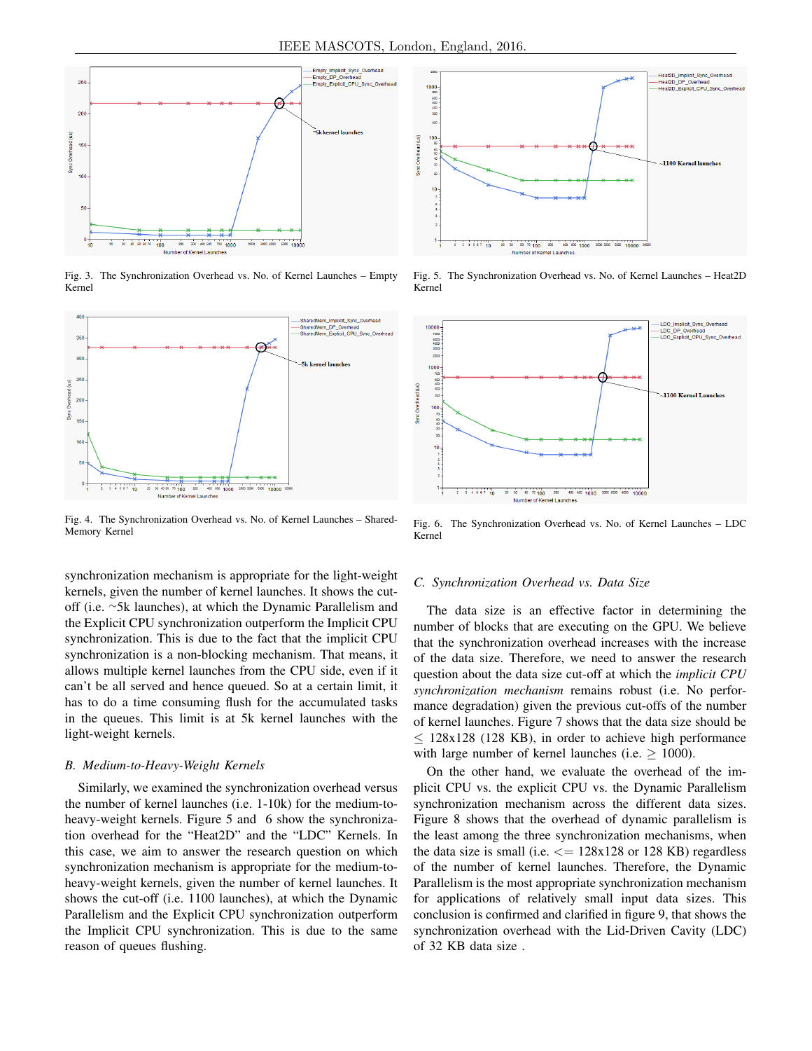

Fig. 3. The Synchronization Overhead vs. No. of Kernel Launches – Empty Kernel



Fig. 4. The Synchronization Overhead vs. No. of Kernel Launches – Shared-Memory Kernel

synchronization mechanism is appropriate for the light-weight kernels, given the number of kernel launches. It shows the cutoff (i.e. <sup>∼</sup>5k launches), at which the Dynamic Parallelism and the Explicit CPU synchronization outperform the Implicit CPU synchronization. This is due to the fact that the implicit CPU synchronization is a non-blocking mechanism. That means, it allows multiple kernel launches from the CPU side, even if it can't be all served and hence queued. So at a certain limit, it has to do a time consuming flush for the accumulated tasks in the queues. This limit is at 5k kernel launches with the light-weight kernels.

## *B. Medium-to-Heavy-Weight Kernels*

Similarly, we examined the synchronization overhead versus the number of kernel launches (i.e. 1-10k) for the medium-toheavy-weight kernels. Figure 5 and 6 show the synchronization overhead for the "Heat2D" and the "LDC" Kernels. In this case, we aim to answer the research question on which synchronization mechanism is appropriate for the medium-toheavy-weight kernels, given the number of kernel launches. It shows the cut-off (i.e. 1100 launches), at which the Dynamic Parallelism and the Explicit CPU synchronization outperform the Implicit CPU synchronization. This is due to the same reason of queues flushing.



Fig. 5. The Synchronization Overhead vs. No. of Kernel Launches – Heat2D Kernel



Fig. 6. The Synchronization Overhead vs. No. of Kernel Launches – LDC Kernel

### *C. Synchronization Overhead vs. Data Size*

The data size is an effective factor in determining the number of blocks that are executing on the GPU. We believe that the synchronization overhead increases with the increase of the data size. Therefore, we need to answer the research question about the data size cut-off at which the *implicit CPU synchronization mechanism* remains robust (i.e. No performance degradation) given the previous cut-offs of the number of kernel launches. Figure 7 shows that the data size should be  $\leq$  128x128 (128 KB), in order to achieve high performance with large number of kernel launches (i.e.  $\geq$  1000).

On the other hand, we evaluate the overhead of the implicit CPU vs. the explicit CPU vs. the Dynamic Parallelism synchronization mechanism across the different data sizes. Figure 8 shows that the overhead of dynamic parallelism is the least among the three synchronization mechanisms, when the data size is small (i.e.  $\leq$  = 128x128 or 128 KB) regardless of the number of kernel launches. Therefore, the Dynamic Parallelism is the most appropriate synchronization mechanism for applications of relatively small input data sizes. This conclusion is confirmed and clarified in figure 9, that shows the synchronization overhead with the Lid-Driven Cavity (LDC) of 32 KB data size .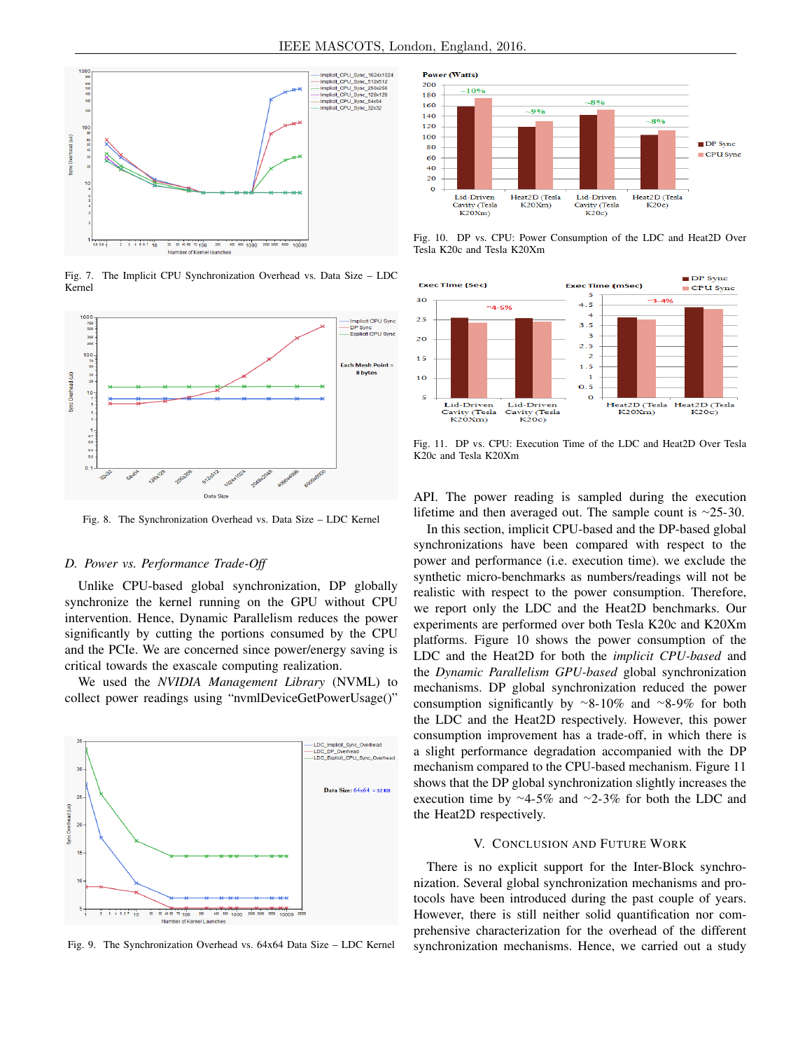

Fig. 7. The Implicit CPU Synchronization Overhead vs. Data Size – LDC Kernel



Fig. 8. The Synchronization Overhead vs. Data Size – LDC Kernel

## *D. Power vs. Performance Trade-Off*

Unlike CPU-based global synchronization, DP globally synchronize the kernel running on the GPU without CPU intervention. Hence, Dynamic Parallelism reduces the power significantly by cutting the portions consumed by the CPU and the PCIe. We are concerned since power/energy saving is critical towards the exascale computing realization.

We used the *NVIDIA Management Library* (NVML) to collect power readings using "nvmlDeviceGetPowerUsage()"



Fig. 9. The Synchronization Overhead vs. 64x64 Data Size – LDC Kernel



Fig. 10. DP vs. CPU: Power Consumption of the LDC and Heat2D Over Tesla K20c and Tesla K20Xm



Fig. 11. DP vs. CPU: Execution Time of the LDC and Heat2D Over Tesla K20c and Tesla K20Xm

API. The power reading is sampled during the execution lifetime and then averaged out. The sample count is <sup>∼</sup>25-30.

In this section, implicit CPU-based and the DP-based global synchronizations have been compared with respect to the power and performance (i.e. execution time). we exclude the synthetic micro-benchmarks as numbers/readings will not be realistic with respect to the power consumption. Therefore, we report only the LDC and the Heat2D benchmarks. Our experiments are performed over both Tesla K20c and K20Xm platforms. Figure 10 shows the power consumption of the LDC and the Heat2D for both the *implicit CPU-based* and the *Dynamic Parallelism GPU-based* global synchronization mechanisms. DP global synchronization reduced the power consumption significantly by <sup>∼</sup>8-10% and <sup>∼</sup>8-9% for both the LDC and the Heat2D respectively. However, this power consumption improvement has a trade-off, in which there is a slight performance degradation accompanied with the DP mechanism compared to the CPU-based mechanism. Figure 11 shows that the DP global synchronization slightly increases the execution time by <sup>∼</sup>4-5% and <sup>∼</sup>2-3% for both the LDC and the Heat2D respectively.

### V. CONCLUSION AND FUTURE WORK

There is no explicit support for the Inter-Block synchronization. Several global synchronization mechanisms and protocols have been introduced during the past couple of years. However, there is still neither solid quantification nor comprehensive characterization for the overhead of the different synchronization mechanisms. Hence, we carried out a study